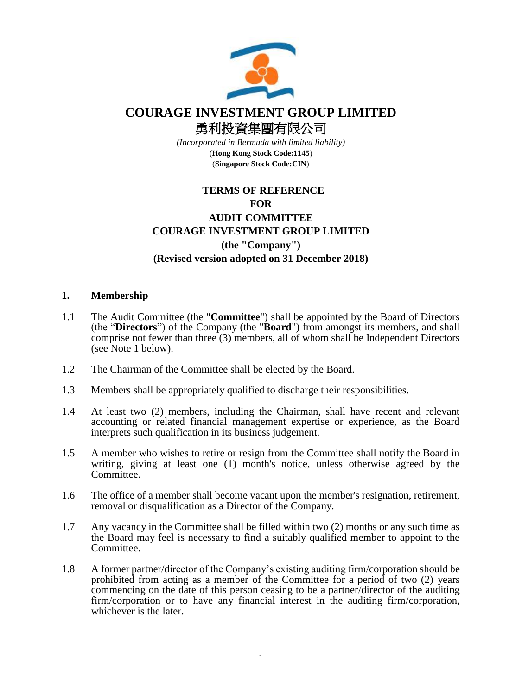

# **COURAGE INVESTMENT GROUP LIMITED**

勇利投資集團有限公司

*(Incorporated in Bermuda with limited liability)* (**Hong Kong Stock Code:1145**) (**Singapore Stock Code:CIN**)

# **TERMS OF REFERENCE FOR AUDIT COMMITTEE COURAGE INVESTMENT GROUP LIMITED (the "Company") (Revised version adopted on 31 December 2018)**

# **1. Membership**

- 1.1 The Audit Committee (the "**Committee**") shall be appointed by the Board of Directors (the "**Directors**") of the Company (the "**Board**") from amongst its members, and shall comprise not fewer than three (3) members, all of whom shall be Independent Directors (see Note 1 below).
- 1.2 The Chairman of the Committee shall be elected by the Board.
- 1.3 Members shall be appropriately qualified to discharge their responsibilities.
- 1.4 At least two (2) members, including the Chairman, shall have recent and relevant accounting or related financial management expertise or experience, as the Board interprets such qualification in its business judgement.
- 1.5 A member who wishes to retire or resign from the Committee shall notify the Board in writing, giving at least one (1) month's notice, unless otherwise agreed by the Committee.
- 1.6 The office of a member shall become vacant upon the member's resignation, retirement, removal or disqualification as a Director of the Company.
- 1.7 Any vacancy in the Committee shall be filled within two (2) months or any such time as the Board may feel is necessary to find a suitably qualified member to appoint to the Committee.
- 1.8 A former partner/director of the Company's existing auditing firm/corporation should be prohibited from acting as a member of the Committee for a period of two (2) years commencing on the date of this person ceasing to be a partner/director of the auditing firm/corporation or to have any financial interest in the auditing firm/corporation, whichever is the later.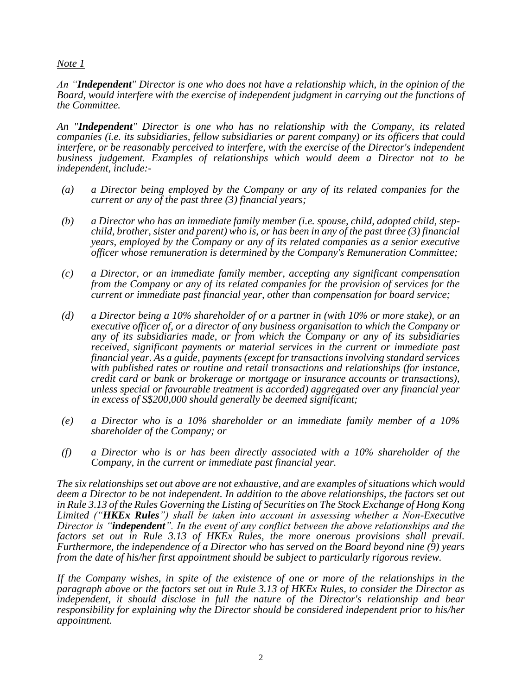#### *Note 1*

*An "Independent" Director is one who does not have a relationship which, in the opinion of the Board, would interfere with the exercise of independent judgment in carrying out the functions of the Committee.*

*An "Independent" Director is one who has no relationship with the Company, its related companies (i.e. its subsidiaries, fellow subsidiaries or parent company) or its officers that could interfere, or be reasonably perceived to interfere, with the exercise of the Director's independent business judgement. Examples of relationships which would deem a Director not to be independent, include:-*

- *(a) a Director being employed by the Company or any of its related companies for the current or any of the past three (3) financial years;*
- *(b) a Director who has an immediate family member (i.e. spouse, child, adopted child, stepchild, brother, sister and parent) who is, or has been in any of the past three (3) financial years, employed by the Company or any of its related companies as a senior executive officer whose remuneration is determined by the Company's Remuneration Committee;*
- *(c) a Director, or an immediate family member, accepting any significant compensation from the Company or any of its related companies for the provision of services for the current or immediate past financial year, other than compensation for board service;*
- *(d) a Director being a 10% shareholder of or a partner in (with 10% or more stake), or an executive officer of, or a director of any business organisation to which the Company or any of its subsidiaries made, or from which the Company or any of its subsidiaries received, significant payments or material services in the current or immediate past financial year. As a guide, payments (except for transactions involving standard services with published rates or routine and retail transactions and relationships (for instance, credit card or bank or brokerage or mortgage or insurance accounts or transactions), unless special or favourable treatment is accorded) aggregated over any financial year in excess of S\$200,000 should generally be deemed significant;*
- *(e) a Director who is a 10% shareholder or an immediate family member of a 10% shareholder of the Company; or*
- *(f) a Director who is or has been directly associated with a 10% shareholder of the Company, in the current or immediate past financial year.*

*The six relationships set out above are not exhaustive, and are examples of situations which would deem a Director to be not independent. In addition to the above relationships, the factors set out in Rule 3.13 of the Rules Governing the Listing of Securities on The Stock Exchange of Hong Kong Limited ("HKEx Rules") shall be taken into account in assessing whether a Non-Executive Director is "independent". In the event of any conflict between the above relationships and the factors set out in Rule 3.13 of HKEx Rules, the more onerous provisions shall prevail. Furthermore, the independence of a Director who has served on the Board beyond nine (9) years from the date of his/her first appointment should be subject to particularly rigorous review.* 

*If the Company wishes, in spite of the existence of one or more of the relationships in the paragraph above or the factors set out in Rule 3.13 of HKEx Rules, to consider the Director as independent, it should disclose in full the nature of the Director's relationship and bear responsibility for explaining why the Director should be considered independent prior to his/her appointment.*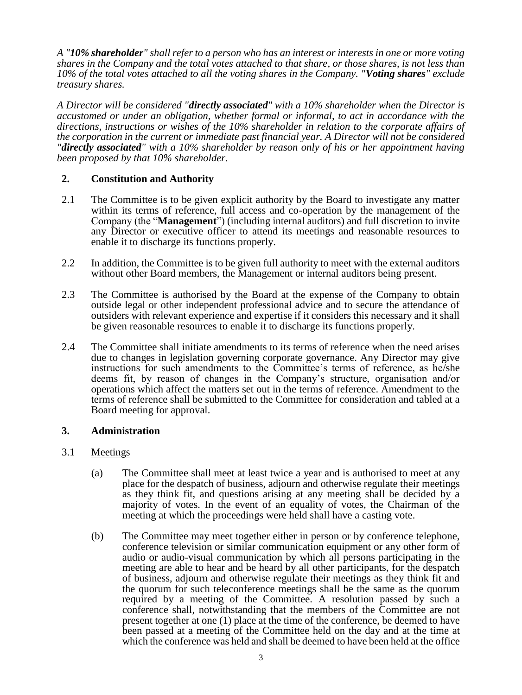*A "10% shareholder" shall refer to a person who has an interest or interests in one or more voting shares in the Company and the total votes attached to that share, or those shares, is not less than 10% of the total votes attached to all the voting shares in the Company. "Voting shares" exclude treasury shares.*

*A Director will be considered "directly associated" with a 10% shareholder when the Director is accustomed or under an obligation, whether formal or informal, to act in accordance with the directions, instructions or wishes of the 10% shareholder in relation to the corporate affairs of the corporation in the current or immediate past financial year. A Director will not be considered "directly associated" with a 10% shareholder by reason only of his or her appointment having been proposed by that 10% shareholder.* 

# **2. Constitution and Authority**

- 2.1 The Committee is to be given explicit authority by the Board to investigate any matter within its terms of reference, full access and co-operation by the management of the Company (the "**Management**") (including internal auditors) and full discretion to invite any Director or executive officer to attend its meetings and reasonable resources to enable it to discharge its functions properly.
- 2.2 In addition, the Committee is to be given full authority to meet with the external auditors without other Board members, the Management or internal auditors being present.
- 2.3 The Committee is authorised by the Board at the expense of the Company to obtain outside legal or other independent professional advice and to secure the attendance of outsiders with relevant experience and expertise if it considers this necessary and it shall be given reasonable resources to enable it to discharge its functions properly.
- 2.4 The Committee shall initiate amendments to its terms of reference when the need arises due to changes in legislation governing corporate governance. Any Director may give instructions for such amendments to the Committee's terms of reference, as he/she deems fit, by reason of changes in the Company's structure, organisation and/or operations which affect the matters set out in the terms of reference. Amendment to the terms of reference shall be submitted to the Committee for consideration and tabled at a Board meeting for approval.

# **3. Administration**

# 3.1 Meetings

- (a) The Committee shall meet at least twice a year and is authorised to meet at any place for the despatch of business, adjourn and otherwise regulate their meetings as they think fit, and questions arising at any meeting shall be decided by a majority of votes. In the event of an equality of votes, the Chairman of the meeting at which the proceedings were held shall have a casting vote.
- (b) The Committee may meet together either in person or by conference telephone, conference television or similar communication equipment or any other form of audio or audio-visual communication by which all persons participating in the meeting are able to hear and be heard by all other participants, for the despatch of business, adjourn and otherwise regulate their meetings as they think fit and the quorum for such teleconference meetings shall be the same as the quorum required by a meeting of the Committee. A resolution passed by such a conference shall, notwithstanding that the members of the Committee are not present together at one (1) place at the time of the conference, be deemed to have been passed at a meeting of the Committee held on the day and at the time at which the conference was held and shall be deemed to have been held at the office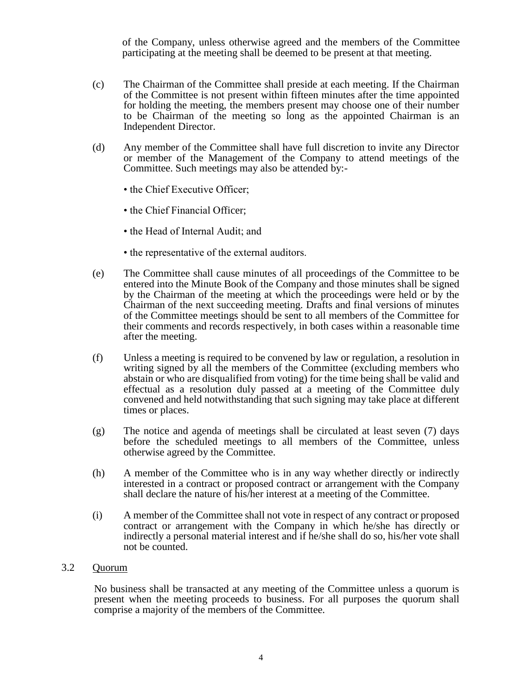of the Company, unless otherwise agreed and the members of the Committee participating at the meeting shall be deemed to be present at that meeting.

- (c) The Chairman of the Committee shall preside at each meeting. If the Chairman of the Committee is not present within fifteen minutes after the time appointed for holding the meeting, the members present may choose one of their number to be Chairman of the meeting so long as the appointed Chairman is an Independent Director.
- (d) Any member of the Committee shall have full discretion to invite any Director or member of the Management of the Company to attend meetings of the Committee. Such meetings may also be attended by:-
	- the Chief Executive Officer;
	- the Chief Financial Officer:
	- the Head of Internal Audit; and
	- the representative of the external auditors.
- (e) The Committee shall cause minutes of all proceedings of the Committee to be entered into the Minute Book of the Company and those minutes shall be signed by the Chairman of the meeting at which the proceedings were held or by the Chairman of the next succeeding meeting. Drafts and final versions of minutes of the Committee meetings should be sent to all members of the Committee for their comments and records respectively, in both cases within a reasonable time after the meeting.
- (f) Unless a meeting is required to be convened by law or regulation, a resolution in writing signed by all the members of the Committee (excluding members who abstain or who are disqualified from voting) for the time being shall be valid and effectual as a resolution duly passed at a meeting of the Committee duly convened and held notwithstanding that such signing may take place at different times or places.
- (g) The notice and agenda of meetings shall be circulated at least seven (7) days before the scheduled meetings to all members of the Committee, unless otherwise agreed by the Committee.
- (h) A member of the Committee who is in any way whether directly or indirectly interested in a contract or proposed contract or arrangement with the Company shall declare the nature of his/her interest at a meeting of the Committee.
- (i) A member of the Committee shall not vote in respect of any contract or proposed contract or arrangement with the Company in which he/she has directly or indirectly a personal material interest and if he/she shall do so, his/her vote shall not be counted.

#### 3.2 Quorum

No business shall be transacted at any meeting of the Committee unless a quorum is present when the meeting proceeds to business. For all purposes the quorum shall comprise a majority of the members of the Committee.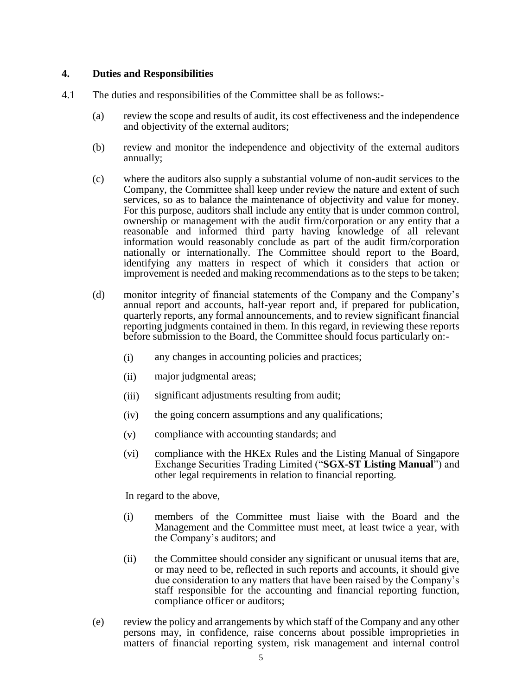# **4. Duties and Responsibilities**

- 4.1 The duties and responsibilities of the Committee shall be as follows:-
	- (a) review the scope and results of audit, its cost effectiveness and the independence and objectivity of the external auditors;
	- (b) review and monitor the independence and objectivity of the external auditors annually;
	- (c) where the auditors also supply a substantial volume of non-audit services to the Company, the Committee shall keep under review the nature and extent of such services, so as to balance the maintenance of objectivity and value for money. For this purpose, auditors shall include any entity that is under common control, ownership or management with the audit firm/corporation or any entity that a reasonable and informed third party having knowledge of all relevant information would reasonably conclude as part of the audit firm/corporation nationally or internationally. The Committee should report to the Board, identifying any matters in respect of which it considers that action or improvement is needed and making recommendations as to the steps to be taken;
	- (d) monitor integrity of financial statements of the Company and the Company's annual report and accounts, half-year report and, if prepared for publication, quarterly reports, any formal announcements, and to review significant financial reporting judgments contained in them. In this regard, in reviewing these reports before submission to the Board, the Committee should focus particularly on:-
		- (i) any changes in accounting policies and practices;
		- (ii) major judgmental areas;
		- (iii) significant adjustments resulting from audit;
		- (iv) the going concern assumptions and any qualifications;
		- (v) compliance with accounting standards; and
		- (vi) compliance with the HKEx Rules and the Listing Manual of Singapore Exchange Securities Trading Limited ("**SGX-ST Listing Manual**") and other legal requirements in relation to financial reporting.

In regard to the above,

- (i) members of the Committee must liaise with the Board and the Management and the Committee must meet, at least twice a year, with the Company's auditors; and
- (ii) the Committee should consider any significant or unusual items that are, or may need to be, reflected in such reports and accounts, it should give due consideration to any matters that have been raised by the Company's staff responsible for the accounting and financial reporting function, compliance officer or auditors;
- (e) review the policy and arrangements by which staff of the Company and any other persons may, in confidence, raise concerns about possible improprieties in matters of financial reporting system, risk management and internal control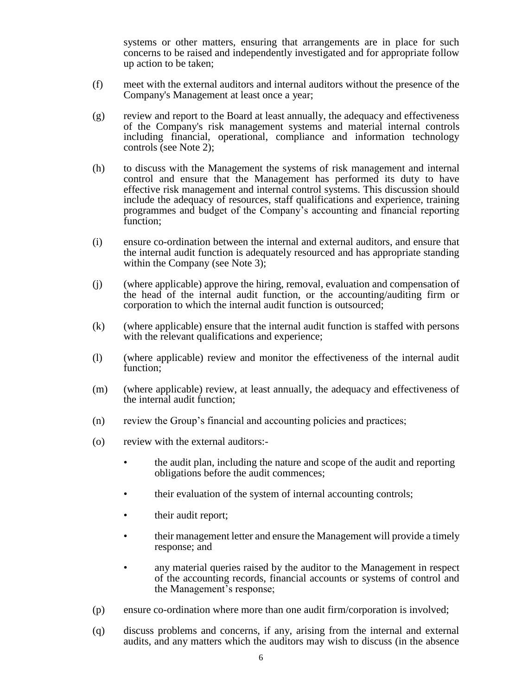systems or other matters, ensuring that arrangements are in place for such concerns to be raised and independently investigated and for appropriate follow up action to be taken;

- (f) meet with the external auditors and internal auditors without the presence of the Company's Management at least once a year;
- (g) review and report to the Board at least annually, the adequacy and effectiveness of the Company's risk management systems and material internal controls including financial, operational, compliance and information technology controls (see Note 2);
- (h) to discuss with the Management the systems of risk management and internal control and ensure that the Management has performed its duty to have effective risk management and internal control systems. This discussion should include the adequacy of resources, staff qualifications and experience, training programmes and budget of the Company's accounting and financial reporting function;
- (i) ensure co-ordination between the internal and external auditors, and ensure that the internal audit function is adequately resourced and has appropriate standing within the Company (see Note 3);
- (j) (where applicable) approve the hiring, removal, evaluation and compensation of the head of the internal audit function, or the accounting/auditing firm or corporation to which the internal audit function is outsourced;
- (k) (where applicable) ensure that the internal audit function is staffed with persons with the relevant qualifications and experience;
- (l) (where applicable) review and monitor the effectiveness of the internal audit function;
- (m) (where applicable) review, at least annually, the adequacy and effectiveness of the internal audit function;
- (n) review the Group's financial and accounting policies and practices;
- (o) review with the external auditors:-
	- the audit plan, including the nature and scope of the audit and reporting obligations before the audit commences;
	- their evaluation of the system of internal accounting controls;
	- their audit report;
	- their management letter and ensure the Management will provide a timely response; and
	- any material queries raised by the auditor to the Management in respect of the accounting records, financial accounts or systems of control and the Management's response;
- (p) ensure co-ordination where more than one audit firm/corporation is involved;
- (q) discuss problems and concerns, if any, arising from the internal and external audits, and any matters which the auditors may wish to discuss (in the absence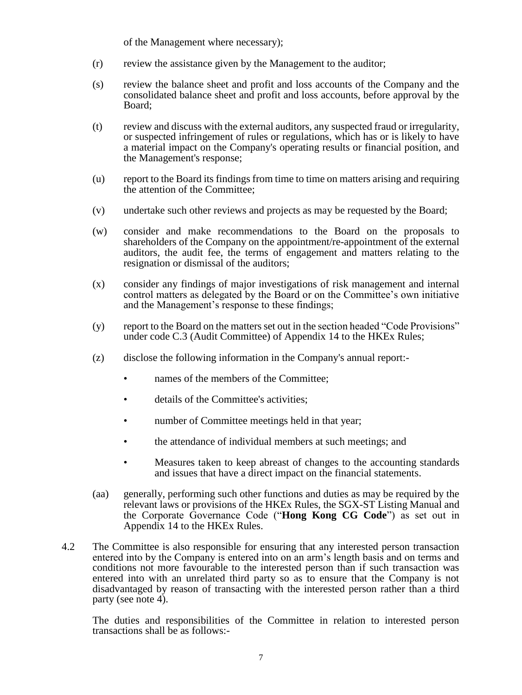of the Management where necessary);

- (r) review the assistance given by the Management to the auditor;
- (s) review the balance sheet and profit and loss accounts of the Company and the consolidated balance sheet and profit and loss accounts, before approval by the Board;
- (t) review and discuss with the external auditors, any suspected fraud or irregularity, or suspected infringement of rules or regulations, which has or is likely to have a material impact on the Company's operating results or financial position, and the Management's response;
- (u) report to the Board its findings from time to time on matters arising and requiring the attention of the Committee;
- (v) undertake such other reviews and projects as may be requested by the Board;
- (w) consider and make recommendations to the Board on the proposals to shareholders of the Company on the appointment/re-appointment of the external auditors, the audit fee, the terms of engagement and matters relating to the resignation or dismissal of the auditors;
- (x) consider any findings of major investigations of risk management and internal control matters as delegated by the Board or on the Committee's own initiative and the Management's response to these findings;
- (y) report to the Board on the matters set out in the section headed "Code Provisions" under code C.3 (Audit Committee) of Appendix 14 to the HKEx Rules;
- (z) disclose the following information in the Company's annual report:
	- names of the members of the Committee;
	- details of the Committee's activities;
	- number of Committee meetings held in that year;
	- the attendance of individual members at such meetings; and
	- Measures taken to keep abreast of changes to the accounting standards and issues that have a direct impact on the financial statements.
- (aa) generally, performing such other functions and duties as may be required by the relevant laws or provisions of the HKEx Rules, the SGX-ST Listing Manual and the Corporate Governance Code ("**Hong Kong CG Code**") as set out in Appendix 14 to the HKEx Rules.
- 4.2 The Committee is also responsible for ensuring that any interested person transaction entered into by the Company is entered into on an arm's length basis and on terms and conditions not more favourable to the interested person than if such transaction was entered into with an unrelated third party so as to ensure that the Company is not disadvantaged by reason of transacting with the interested person rather than a third party (see note 4).

The duties and responsibilities of the Committee in relation to interested person transactions shall be as follows:-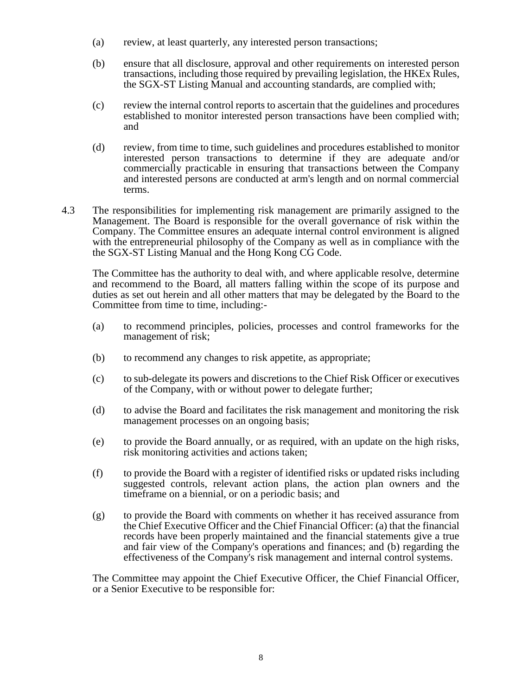- (a) review, at least quarterly, any interested person transactions;
- (b) ensure that all disclosure, approval and other requirements on interested person transactions, including those required by prevailing legislation, the HKEx Rules, the SGX-ST Listing Manual and accounting standards, are complied with;
- (c) review the internal control reports to ascertain that the guidelines and procedures established to monitor interested person transactions have been complied with; and
- (d) review, from time to time, such guidelines and procedures established to monitor interested person transactions to determine if they are adequate and/or commercially practicable in ensuring that transactions between the Company and interested persons are conducted at arm's length and on normal commercial terms.
- 4.3 The responsibilities for implementing risk management are primarily assigned to the Management. The Board is responsible for the overall governance of risk within the Company. The Committee ensures an adequate internal control environment is aligned with the entrepreneurial philosophy of the Company as well as in compliance with the the SGX-ST Listing Manual and the Hong Kong CG Code.

The Committee has the authority to deal with, and where applicable resolve, determine and recommend to the Board, all matters falling within the scope of its purpose and duties as set out herein and all other matters that may be delegated by the Board to the Committee from time to time, including:-

- (a) to recommend principles, policies, processes and control frameworks for the management of risk;
- (b) to recommend any changes to risk appetite, as appropriate;
- (c) to sub-delegate its powers and discretions to the Chief Risk Officer or executives of the Company, with or without power to delegate further;
- (d) to advise the Board and facilitates the risk management and monitoring the risk management processes on an ongoing basis;
- (e) to provide the Board annually, or as required, with an update on the high risks, risk monitoring activities and actions taken;
- (f) to provide the Board with a register of identified risks or updated risks including suggested controls, relevant action plans, the action plan owners and the timeframe on a biennial, or on a periodic basis; and
- (g) to provide the Board with comments on whether it has received assurance from the Chief Executive Officer and the Chief Financial Officer: (a) that the financial records have been properly maintained and the financial statements give a true and fair view of the Company's operations and finances; and (b) regarding the effectiveness of the Company's risk management and internal control systems.

The Committee may appoint the Chief Executive Officer, the Chief Financial Officer, or a Senior Executive to be responsible for: